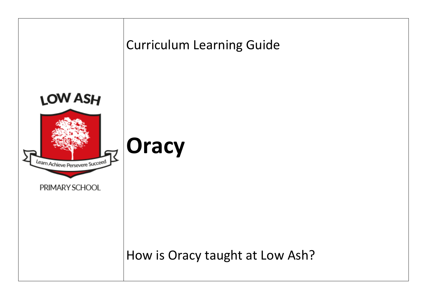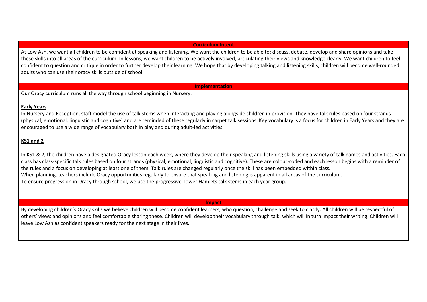## **Curriculum Intent**

At Low Ash, we want all children to be confident at speaking and listening. We want the children to be able to: discuss, debate, develop and share opinions and take these skills into all areas of the curriculum. In lessons, we want children to be actively involved, articulating their views and knowledge clearly. We want children to feel confident to question and critique in order to further develop their learning. We hope that by developing talking and listening skills, children will become well-rounded adults who can use their oracy skills outside of school.

## **Implementation**

Our Oracy curriculum runs all the way through school beginning in Nursery.

## **Early Years**

In Nursery and Reception, staff model the use of talk stems when interacting and playing alongside children in provision. They have talk rules based on four strands (physical, emotional, linguistic and cognitive) and are reminded of these regularly in carpet talk sessions. Key vocabulary is a focus for children in Early Years and they are encouraged to use a wide range of vocabulary both in play and during adult-led activities.

## **KS1 and 2**

In KS1 & 2, the children have a designated Oracy lesson each week, where they develop their speaking and listening skills using a variety of talk games and activities. Each class has class-specific talk rules based on four strands (physical, emotional, linguistic and cognitive). These are colour-coded and each lesson begins with a reminder of the rules and a focus on developing at least one of them. Talk rules are changed regularly once the skill has been embedded within class. When planning, teachers include Oracy opportunities regularly to ensure that speaking and listening is apparent in all areas of the curriculum. To ensure progression in Oracy through school, we use the progressive Tower Hamlets talk stems in each year group.

**Impact**

By developing children's Oracy skills we believe children will become confident learners, who question, challenge and seek to clarify. All children will be respectful of others' views and opinions and feel comfortable sharing these. Children will develop their vocabulary through talk, which will in turn impact their writing. Children will leave Low Ash as confident speakers ready for the next stage in their lives.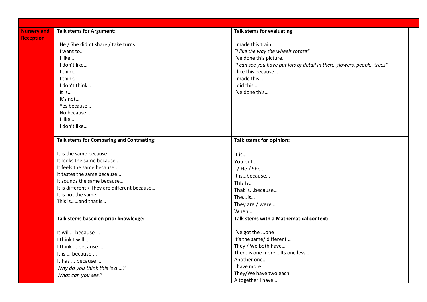| <b>Nursery and</b> | <b>Talk stems for Argument:</b>                  | Talk stems for evaluating:                                               |
|--------------------|--------------------------------------------------|--------------------------------------------------------------------------|
| <b>Reception</b>   |                                                  |                                                                          |
|                    | He / She didn't share / take turns               | I made this train.                                                       |
|                    | I want to                                        | "I like the way the wheels rotate"                                       |
|                    | I like                                           | I've done this picture.                                                  |
|                    | I don't like                                     | "I can see you have put lots of detail in there, flowers, people, trees" |
|                    | I think                                          | I like this because                                                      |
|                    | I think                                          | I made this                                                              |
|                    | I don't think                                    | I did this                                                               |
|                    | It is                                            | I've done this                                                           |
|                    | It's not                                         |                                                                          |
|                    | Yes because                                      |                                                                          |
|                    | No because                                       |                                                                          |
|                    | I like                                           |                                                                          |
|                    | I don't like                                     |                                                                          |
|                    | <b>Talk stems for Comparing and Contrasting:</b> | Talk stems for opinion:                                                  |
|                    | It is the same because                           | It is                                                                    |
|                    | It looks the same because                        | You put                                                                  |
|                    | It feels the same because                        | $1/$ He $/$ She                                                          |
|                    | It tastes the same because                       | It isbecause                                                             |
|                    | It sounds the same because                       | This is                                                                  |
|                    | It is different / They are different because     | That isbecause                                                           |
|                    | It is not the same.                              | Theis                                                                    |
|                    | This isand that is                               | They are / were                                                          |
|                    |                                                  | When                                                                     |
|                    | Talk stems based on prior knowledge:             | Talk stems with a Mathematical context:                                  |
|                    |                                                  |                                                                          |
|                    | It will because                                  | I've got the one                                                         |
|                    | I think I will                                   | It's the same/ different                                                 |
|                    | I think  because                                 | They / We both have                                                      |
|                    | It is  because                                   | There is one more Its one less                                           |
|                    | It has  because                                  | Another one                                                              |
|                    | Why do you think this is a ?                     | I have more                                                              |
|                    | What can you see?                                | They/We have two each                                                    |
|                    |                                                  | Altogether I have                                                        |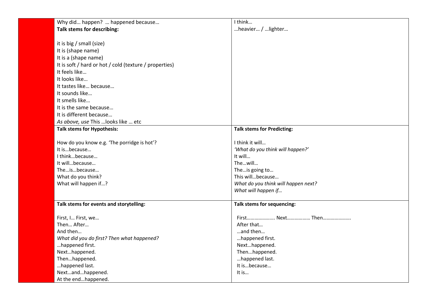| Why did happen?  happened because                      | I think                             |
|--------------------------------------------------------|-------------------------------------|
| <b>Talk stems for describing:</b>                      | heavier / lighter                   |
|                                                        |                                     |
| it is big / small (size)                               |                                     |
| It is (shape name)                                     |                                     |
| It is a (shape name)                                   |                                     |
| It is soft / hard or hot / cold (texture / properties) |                                     |
| It feels like                                          |                                     |
| It looks like                                          |                                     |
| It tastes like because                                 |                                     |
| It sounds like                                         |                                     |
| It smells like                                         |                                     |
| It is the same because                                 |                                     |
| It is different because                                |                                     |
| As above, use This  looks like  etc                    |                                     |
| <b>Talk stems for Hypothesis:</b>                      | <b>Talk stems for Predicting:</b>   |
|                                                        |                                     |
| How do you know e.g. 'The porridge is hot'?            | I think it will                     |
| It isbecause                                           | 'What do you think will happen?'    |
| I thinkbecause                                         | It will                             |
| It willbecause                                         | Thewill                             |
| Theisbecause                                           | The is going to                     |
| What do you think?                                     | This willbecause                    |
| What will happen if?                                   | What do you think will happen next? |
|                                                        | What will happen if                 |
|                                                        |                                     |
| Talk stems for events and storytelling:                | Talk stems for sequencing:          |
| First, I First, we                                     | First Next Then                     |
| Then After                                             | After that                          |
| And then                                               | and then                            |
| What did you do first? Then what happened?             | happened first.                     |
| happened first.                                        | Nexthappened.                       |
| Nexthappened.                                          | Thenhappened.                       |
| Thenhappened.                                          | happened last.                      |
| happened last.                                         | It isbecause                        |
| Nextandhappened.                                       | It is                               |
| At the endhappened.                                    |                                     |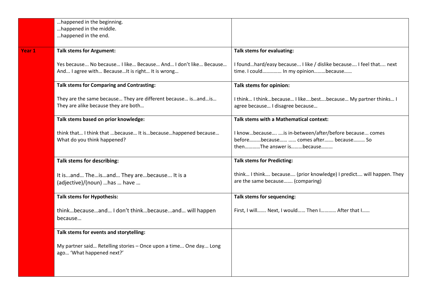|        | happened in the beginning.                                                                                         |                                                                                                                             |
|--------|--------------------------------------------------------------------------------------------------------------------|-----------------------------------------------------------------------------------------------------------------------------|
|        | happened in the middle.                                                                                            |                                                                                                                             |
|        | happened in the end.                                                                                               |                                                                                                                             |
|        | <b>Talk stems for Argument:</b>                                                                                    | Talk stems for evaluating:                                                                                                  |
| Year 1 |                                                                                                                    |                                                                                                                             |
|        | Yes because No because I like Because And I don't like Because<br>And I agree with Because It is right It is wrong | I foundhard/easy because I like / dislike because I feel that next<br>time. I could In my opinionbecause                    |
|        | <b>Talk stems for Comparing and Contrasting:</b>                                                                   | Talk stems for opinion:                                                                                                     |
|        | They are the same because They are different because isandis<br>They are alike because they are both               | I think I thinkbecause I likebestbecause My partner thinks I<br>agree because I disagree because                            |
|        | Talk stems based on prior knowledge:                                                                               | Talk stems with a Mathematical context:                                                                                     |
|        | think that I think that  because It is because happened because<br>What do you think happened?                     | I knowbecause is in-between/after/before because comes<br>beforebecause  comes after because So<br>thenThe answer isbecause |
|        | Talk stems for describing:                                                                                         | <b>Talk stems for Predicting:</b>                                                                                           |
|        | It isand Theisand They arebecause It is a<br>(adjective)/(noun) has  have                                          | think I think because (prior knowledge) I predict will happen. They<br>are the same because (comparing)                     |
|        | <b>Talk stems for Hypothesis:</b>                                                                                  | Talk stems for sequencing:                                                                                                  |
|        | thinkbecauseand I don't thinkbecauseand will happen<br>because                                                     | First, I will Next, I would Then I After that I                                                                             |
|        | Talk stems for events and storytelling:                                                                            |                                                                                                                             |
|        | My partner said Retelling stories - Once upon a time One day Long<br>ago 'What happened next?'                     |                                                                                                                             |
|        |                                                                                                                    |                                                                                                                             |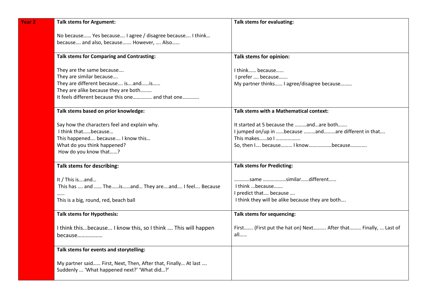| Year <sub>2</sub> | <b>Talk stems for Argument:</b>                                | Talk stems for evaluating:                                     |
|-------------------|----------------------------------------------------------------|----------------------------------------------------------------|
|                   | No because Yes because I agree / disagree because I think      |                                                                |
|                   | because and also, because However,  Also                       |                                                                |
|                   | <b>Talk stems for Comparing and Contrasting:</b>               | Talk stems for opinion:                                        |
|                   | They are the same because                                      | I think because                                                |
|                   | They are similar because                                       | I prefer  because                                              |
|                   | They are different because isandis                             | My partner thinks I agree/disagree because                     |
|                   | They are alike because they are both                           |                                                                |
|                   | It feels different because this one and that one               |                                                                |
|                   | Talk stems based on prior knowledge:                           | <b>Talk stems with a Mathematical context:</b>                 |
|                   | Say how the characters feel and explain why.                   | It started at 5 because the andare both                        |
|                   | I think thatbecause                                            | I jumped on/up in because andare different in that             |
|                   | This happened because I know this                              | This makesso I                                                 |
|                   | What do you think happened?                                    | So, then I because I knowbecause                               |
|                   | How do you know that?                                          |                                                                |
|                   | Talk stems for describing:                                     | <b>Talk stems for Predicting:</b>                              |
|                   | It / This isand                                                | same similardifferent                                          |
|                   | This has  and  The  is  and  They are  and  I feel  Because    | I think  because                                               |
|                   |                                                                | I predict that because                                         |
|                   | This is a big, round, red, beach ball                          | I think they will be alike because they are both               |
|                   | <b>Talk stems for Hypothesis:</b>                              | Talk stems for sequencing:                                     |
|                   | I think thisbecause I know this, so I think  This will happen  | First (First put the hat on) Next After that Finally,  Last of |
|                   | because                                                        | all                                                            |
|                   | Talk stems for events and storytelling:                        |                                                                |
|                   |                                                                |                                                                |
|                   | My partner said First, Next, Then, After that, Finally At last |                                                                |
|                   | Suddenly  'What happened next?' 'What did?'                    |                                                                |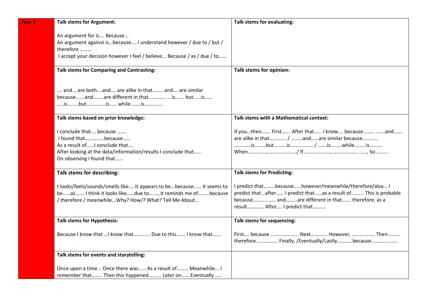| <b>Year 3</b> | <b>Talk stems for Argument:</b>                                                                                                                                                          | Talk stems for evaluating:                                                                                                                                                                                    |
|---------------|------------------------------------------------------------------------------------------------------------------------------------------------------------------------------------------|---------------------------------------------------------------------------------------------------------------------------------------------------------------------------------------------------------------|
|               | An argument for is Because<br>An argument against isbecause I understand however / due to / but /                                                                                        |                                                                                                                                                                                                               |
|               | therefore<br>I accept your decision however I feel / believe Because / as / due / to                                                                                                     |                                                                                                                                                                                                               |
|               | <b>Talk stems for Comparing and Contrasting:</b>                                                                                                                                         | Talk stems for opinion:                                                                                                                                                                                       |
|               | and are bothand are alike in that and are similar<br>becauseandare different in that is butis<br>isbutis whileis                                                                         |                                                                                                                                                                                                               |
|               | Talk stems based on prior knowledge:                                                                                                                                                     | Talk stems with a Mathematical context:                                                                                                                                                                       |
|               | I conclude that because<br>I found thatbecause<br>As a result ofI conclude that<br>After looking at the data/information/results I conclude that<br>On observing I found that            | If youthen First After that I know because and<br>are alike in that / andare similar because                                                                                                                  |
|               | Talk stems for describing:                                                                                                                                                               | <b>Talk stems for Predicting:</b>                                                                                                                                                                             |
|               | t looks/feels/sounds/smells like It appears to bebecause It seems to<br>beas I think it looks likedue toIt reminds me ofbecause<br>/ therefore / meanwhileWhy? How/? What? Tell Me About | I predict thatbecausehowever/meanwhile/therefore/also I<br>predict thatafter I predict thatas a result of This is probable<br>because andare different in that therefore, as a<br>result After I predict that |
|               | <b>Talk stems for Hypothesis:</b>                                                                                                                                                        | Talk stems for sequencing:                                                                                                                                                                                    |
|               | Because I know that  I know that  Due to this  I know that                                                                                                                               | First because  Next However,  Then<br>therefore Finally, /Eventually/Lastlybecause                                                                                                                            |
|               | Talk stems for events and storytelling:                                                                                                                                                  |                                                                                                                                                                                                               |
|               | Once upon a time Once there was As a result of Meanwhile I<br>remember that Then this happened Later on Eventually                                                                       |                                                                                                                                                                                                               |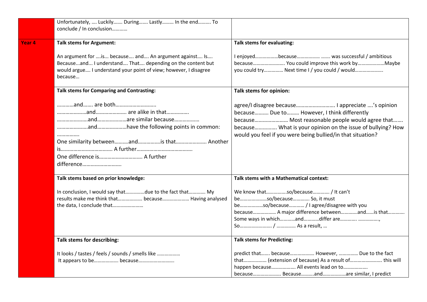|        | Unfortunately,  Luckily During Lastly In the end To<br>conclude / In conclusion                                                                                                                    |                                                                                                                                                                                                                                                                                 |
|--------|----------------------------------------------------------------------------------------------------------------------------------------------------------------------------------------------------|---------------------------------------------------------------------------------------------------------------------------------------------------------------------------------------------------------------------------------------------------------------------------------|
| Year 4 | <b>Talk stems for Argument:</b>                                                                                                                                                                    | Talk stems for evaluating:                                                                                                                                                                                                                                                      |
|        | An argument for  is because and An argument against Is<br>Becauseand I understand That depending on the content but<br>would argue I understand your point of view; however, I disagree<br>because | I enjoyedbecause was successful / ambitious<br>you could try Next time I / you could / would                                                                                                                                                                                    |
|        | <b>Talk stems for Comparing and Contrasting:</b>                                                                                                                                                   | Talk stems for opinion:                                                                                                                                                                                                                                                         |
|        | <br>One similarity betweenandis that Another<br>difference                                                                                                                                         | agree/I disagree because I appreciate 's opinion<br>because Due to However, I think differently<br>because Most reasonable people would agree that<br>because What is your opinion on the issue of bullying? How<br>would you feel if you were being bullied/in that situation? |
|        | Talk stems based on prior knowledge:                                                                                                                                                               | Talk stems with a Mathematical context:                                                                                                                                                                                                                                         |
|        | In conclusion, I would say thatdue to the fact that My<br>results make me think that because Having analysed<br>the data, I conclude that                                                          | We know thatso/because / It can't<br>beso/because So, it must<br>beso/because / I agree/disagree with you<br>because A major difference betweenandis that<br>Some ways in whichanddiffer are                                                                                    |
|        | Talk stems for describing:                                                                                                                                                                         | <b>Talk stems for Predicting:</b>                                                                                                                                                                                                                                               |
|        | It looks / tastes / feels / sounds / smells like                                                                                                                                                   | predict that because However,  Due to the fact<br>that (extension of because) As a result of this will<br>happen because All events lead on to<br>because Becauseandare similar, I predict                                                                                      |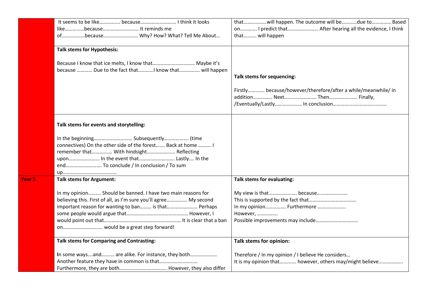|        |                                                                                                                                                                                                                             | thatwill happen. The outcome will bedue to Based                                                              |
|--------|-----------------------------------------------------------------------------------------------------------------------------------------------------------------------------------------------------------------------------|---------------------------------------------------------------------------------------------------------------|
|        | likebecause It reminds me                                                                                                                                                                                                   | on I predict that After hearing all the evidence, I think                                                     |
|        | ofbecause Why? How? What? Tell Me About                                                                                                                                                                                     | that will happen                                                                                              |
|        | <b>Talk stems for Hypothesis:</b>                                                                                                                                                                                           |                                                                                                               |
|        | Because I know that ice melts, I know that Maybe it's<br>because  Due to the fact that know that will happen                                                                                                                | Talk stems for sequencing:                                                                                    |
|        |                                                                                                                                                                                                                             | Firstly because/however/therefore/after a while/meanwhile/ in<br>addition Next Then Finally,                  |
|        | Talk stems for events and storytelling:                                                                                                                                                                                     |                                                                                                               |
|        | connectives) On the other side of the forest Back at home  I<br>remember that With hindsight Reflecting<br>upon In the event that Lastly In the<br>end To conclude / In conclusion / To sum                                 |                                                                                                               |
| Year 5 | <b>Talk stems for Argument:</b>                                                                                                                                                                                             | Talk stems for evaluating:                                                                                    |
|        | In my opinion Should be banned. I have two main reasons for<br>believing this. First of all, as I'm sure you'll agree My second<br>important reason for wanting to ban is that Perhaps<br>on would be a great step forward! | My view is that because<br>In my opinion Furthermore<br>However,                                              |
|        | <b>Talk stems for Comparing and Contrasting:</b>                                                                                                                                                                            | Talk stems for opinion:                                                                                       |
|        | In some waysand are alike. For instance, they both                                                                                                                                                                          | Therefore / In my opinion / I believe He considers<br>It is my opinion that however, others may/might believe |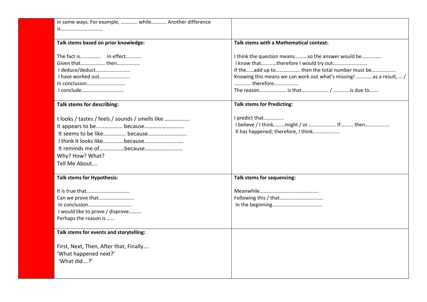| in some ways. For example,  while Another difference |                                                                    |
|------------------------------------------------------|--------------------------------------------------------------------|
| is                                                   |                                                                    |
|                                                      |                                                                    |
| Talk stems based on prior knowledge:                 | Talk stems with a Mathematical context:                            |
|                                                      |                                                                    |
| The fact is In effect                                | I think the question meansso the answer would be                   |
| Given that then                                      | I know thattherefore I would try out                               |
| I deduce/deduct                                      | If the  add up to     then the total number must be                |
| I have worked out                                    | Knowing this means we can work out what's missing! as a result,  / |
|                                                      | therefore                                                          |
|                                                      |                                                                    |
| Talk stems for describing:                           | <b>Talk stems for Predicting:</b>                                  |
|                                                      | I predict that                                                     |
| t looks / tastes / feels / sounds / smells like      | I believe / I thinkmight / or If then                              |
|                                                      | X has happened; therefore, I think                                 |
|                                                      |                                                                    |
| I think it looks likebecause                         |                                                                    |
|                                                      |                                                                    |
| Why? How? What?                                      |                                                                    |
| Tell Me About                                        |                                                                    |
|                                                      |                                                                    |
| <b>Talk stems for Hypothesis:</b>                    | Talk stems for sequencing:                                         |
|                                                      |                                                                    |
|                                                      |                                                                    |
| Can we prove that                                    |                                                                    |
|                                                      |                                                                    |
| I would like to prove / disprove                     |                                                                    |
| Perhaps the reason is                                |                                                                    |
| Talk stems for events and storytelling:              |                                                                    |
|                                                      |                                                                    |
| First, Next, Then, After that, Finally               |                                                                    |
| 'What happened next?'                                |                                                                    |
| 'What did?'                                          |                                                                    |
|                                                      |                                                                    |
|                                                      |                                                                    |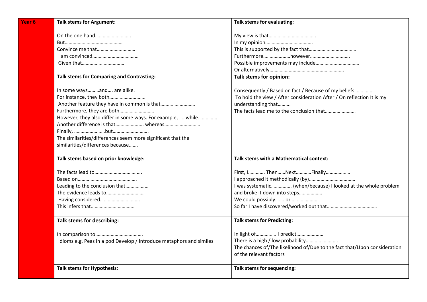| Year <sub>6</sub> | <b>Talk stems for Argument:</b>                                     | Talk stems for evaluating:                                               |
|-------------------|---------------------------------------------------------------------|--------------------------------------------------------------------------|
|                   | On the one hand                                                     |                                                                          |
|                   |                                                                     |                                                                          |
|                   | Convince me that                                                    |                                                                          |
|                   |                                                                     |                                                                          |
|                   |                                                                     |                                                                          |
|                   |                                                                     |                                                                          |
|                   | <b>Talk stems for Comparing and Contrasting:</b>                    | Talk stems for opinion:                                                  |
|                   | In some waysand are alike.                                          | Consequently / Based on fact / Because of my beliefs                     |
|                   | For instance, they both                                             | To hold the view / After consideration After / On reflection It is my    |
|                   |                                                                     | understanding that                                                       |
|                   | Furthermore, they are both                                          |                                                                          |
|                   | However, they also differ in some ways. For example,  while         |                                                                          |
|                   |                                                                     |                                                                          |
|                   |                                                                     |                                                                          |
|                   | The similarities/differences seem more significant that the         |                                                                          |
|                   | similarities/differences because                                    |                                                                          |
|                   | Talk stems based on prior knowledge:                                | Talk stems with a Mathematical context:                                  |
|                   |                                                                     | First, I ThenNextFinally                                                 |
|                   |                                                                     |                                                                          |
|                   | Leading to the conclusion that                                      | I was systematic (when/because) I looked at the whole problem            |
|                   | The evidence leads to                                               | and broke it down into steps                                             |
|                   | Having considered                                                   | We could possibly or                                                     |
|                   |                                                                     |                                                                          |
|                   | Talk stems for describing:                                          | <b>Talk stems for Predicting:</b>                                        |
|                   |                                                                     | In light of  I predict                                                   |
|                   | Idioms e.g. Peas in a pod Develop / Introduce metaphors and similes | There is a high / low probability                                        |
|                   |                                                                     | The chances of/The likelihood of/Due to the fact that/Upon consideration |
|                   |                                                                     | of the relevant factors                                                  |
|                   | <b>Talk stems for Hypothesis:</b>                                   | Talk stems for sequencing:                                               |
|                   |                                                                     |                                                                          |